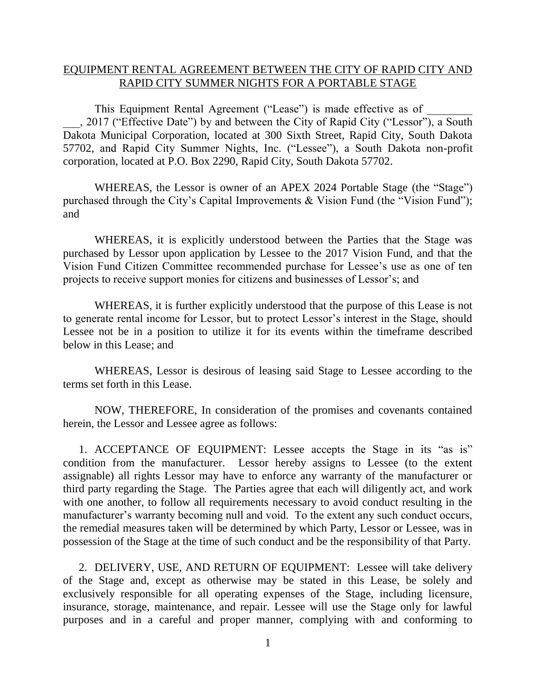## EQUIPMENT RENTAL AGREEMENT BETWEEN THE CITY OF RAPID CITY AND RAPID CITY SUMMER NIGHTS FOR A PORTABLE STAGE

This Equipment Rental Agreement ("Lease") is made effective as of \_\_\_, 2017 ("Effective Date") by and between the City of Rapid City ("Lessor"), a South Dakota Municipal Corporation, located at 300 Sixth Street, Rapid City, South Dakota 57702, and Rapid City Summer Nights, Inc. ("Lessee"), a South Dakota non-profit corporation, located at P.O. Box 2290, Rapid City, South Dakota 57702.

WHEREAS, the Lessor is owner of an APEX 2024 Portable Stage (the "Stage") purchased through the City's Capital Improvements & Vision Fund (the "Vision Fund"); and

WHEREAS, it is explicitly understood between the Parties that the Stage was purchased by Lessor upon application by Lessee to the 2017 Vision Fund, and that the Vision Fund Citizen Committee recommended purchase for Lessee's use as one of ten projects to receive support monies for citizens and businesses of Lessor's; and

WHEREAS, it is further explicitly understood that the purpose of this Lease is not to generate rental income for Lessor, but to protect Lessor's interest in the Stage, should Lessee not be in a position to utilize it for its events within the timeframe described below in this Lease; and

WHEREAS, Lessor is desirous of leasing said Stage to Lessee according to the terms set forth in this Lease.

NOW, THEREFORE, In consideration of the promises and covenants contained herein, the Lessor and Lessee agree as follows:

1. ACCEPTANCE OF EQUIPMENT: Lessee accepts the Stage in its "as is" condition from the manufacturer. Lessor hereby assigns to Lessee (to the extent assignable) all rights Lessor may have to enforce any warranty of the manufacturer or third party regarding the Stage. The Parties agree that each will diligently act, and work with one another, to follow all requirements necessary to avoid conduct resulting in the manufacturer's warranty becoming null and void. To the extent any such conduct occurs, the remedial measures taken will be determined by which Party, Lessor or Lessee, was in possession of the Stage at the time of such conduct and be the responsibility of that Party.

2. DELIVERY, USE, AND RETURN OF EQUIPMENT: Lessee will take delivery of the Stage and, except as otherwise may be stated in this Lease, be solely and exclusively responsible for all operating expenses of the Stage, including licensure, insurance, storage, maintenance, and repair. Lessee will use the Stage only for lawful purposes and in a careful and proper manner, complying with and conforming to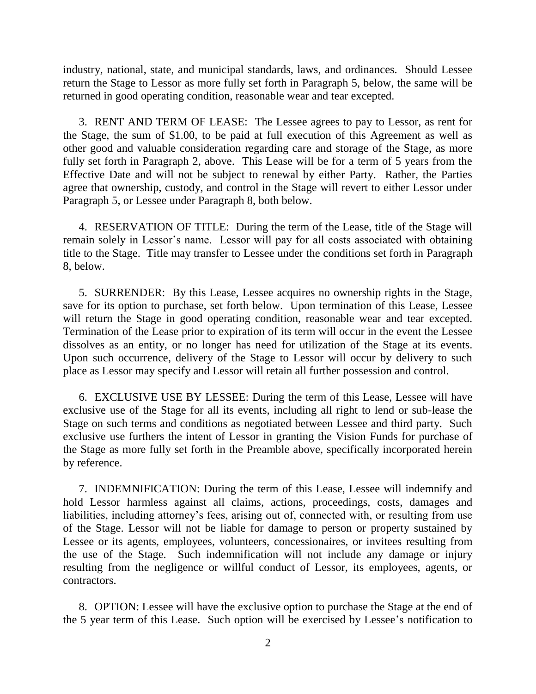industry, national, state, and municipal standards, laws, and ordinances. Should Lessee return the Stage to Lessor as more fully set forth in Paragraph 5, below, the same will be returned in good operating condition, reasonable wear and tear excepted.

3. RENT AND TERM OF LEASE: The Lessee agrees to pay to Lessor, as rent for the Stage, the sum of \$1.00, to be paid at full execution of this Agreement as well as other good and valuable consideration regarding care and storage of the Stage, as more fully set forth in Paragraph 2, above. This Lease will be for a term of 5 years from the Effective Date and will not be subject to renewal by either Party. Rather, the Parties agree that ownership, custody, and control in the Stage will revert to either Lessor under Paragraph 5, or Lessee under Paragraph 8, both below.

4. RESERVATION OF TITLE: During the term of the Lease, title of the Stage will remain solely in Lessor's name. Lessor will pay for all costs associated with obtaining title to the Stage. Title may transfer to Lessee under the conditions set forth in Paragraph 8, below.

5. SURRENDER: By this Lease, Lessee acquires no ownership rights in the Stage, save for its option to purchase, set forth below. Upon termination of this Lease, Lessee will return the Stage in good operating condition, reasonable wear and tear excepted. Termination of the Lease prior to expiration of its term will occur in the event the Lessee dissolves as an entity, or no longer has need for utilization of the Stage at its events. Upon such occurrence, delivery of the Stage to Lessor will occur by delivery to such place as Lessor may specify and Lessor will retain all further possession and control.

6. EXCLUSIVE USE BY LESSEE: During the term of this Lease, Lessee will have exclusive use of the Stage for all its events, including all right to lend or sub-lease the Stage on such terms and conditions as negotiated between Lessee and third party. Such exclusive use furthers the intent of Lessor in granting the Vision Funds for purchase of the Stage as more fully set forth in the Preamble above, specifically incorporated herein by reference.

7. INDEMNIFICATION: During the term of this Lease, Lessee will indemnify and hold Lessor harmless against all claims, actions, proceedings, costs, damages and liabilities, including attorney's fees, arising out of, connected with, or resulting from use of the Stage. Lessor will not be liable for damage to person or property sustained by Lessee or its agents, employees, volunteers, concessionaires, or invitees resulting from the use of the Stage. Such indemnification will not include any damage or injury resulting from the negligence or willful conduct of Lessor, its employees, agents, or contractors.

8. OPTION: Lessee will have the exclusive option to purchase the Stage at the end of the 5 year term of this Lease. Such option will be exercised by Lessee's notification to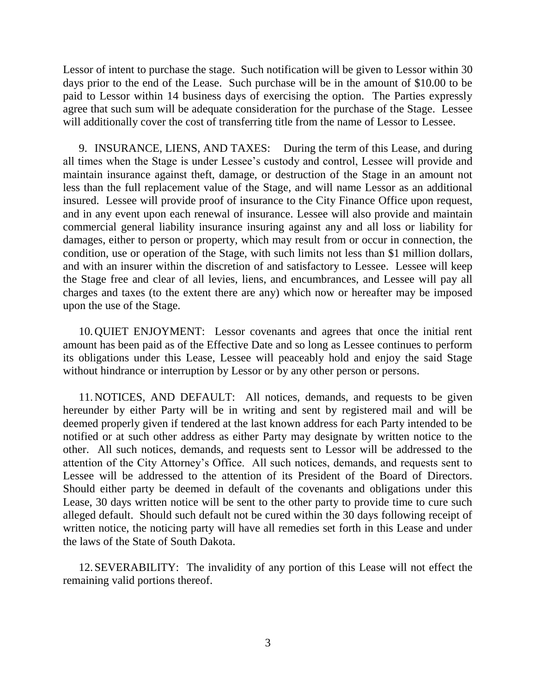Lessor of intent to purchase the stage. Such notification will be given to Lessor within 30 days prior to the end of the Lease. Such purchase will be in the amount of \$10.00 to be paid to Lessor within 14 business days of exercising the option. The Parties expressly agree that such sum will be adequate consideration for the purchase of the Stage. Lessee will additionally cover the cost of transferring title from the name of Lessor to Lessee.

9. INSURANCE, LIENS, AND TAXES: During the term of this Lease, and during all times when the Stage is under Lessee's custody and control, Lessee will provide and maintain insurance against theft, damage, or destruction of the Stage in an amount not less than the full replacement value of the Stage, and will name Lessor as an additional insured. Lessee will provide proof of insurance to the City Finance Office upon request, and in any event upon each renewal of insurance. Lessee will also provide and maintain commercial general liability insurance insuring against any and all loss or liability for damages, either to person or property, which may result from or occur in connection, the condition, use or operation of the Stage, with such limits not less than \$1 million dollars, and with an insurer within the discretion of and satisfactory to Lessee. Lessee will keep the Stage free and clear of all levies, liens, and encumbrances, and Lessee will pay all charges and taxes (to the extent there are any) which now or hereafter may be imposed upon the use of the Stage.

10.QUIET ENJOYMENT: Lessor covenants and agrees that once the initial rent amount has been paid as of the Effective Date and so long as Lessee continues to perform its obligations under this Lease, Lessee will peaceably hold and enjoy the said Stage without hindrance or interruption by Lessor or by any other person or persons.

11.NOTICES, AND DEFAULT: All notices, demands, and requests to be given hereunder by either Party will be in writing and sent by registered mail and will be deemed properly given if tendered at the last known address for each Party intended to be notified or at such other address as either Party may designate by written notice to the other. All such notices, demands, and requests sent to Lessor will be addressed to the attention of the City Attorney's Office. All such notices, demands, and requests sent to Lessee will be addressed to the attention of its President of the Board of Directors. Should either party be deemed in default of the covenants and obligations under this Lease, 30 days written notice will be sent to the other party to provide time to cure such alleged default. Should such default not be cured within the 30 days following receipt of written notice, the noticing party will have all remedies set forth in this Lease and under the laws of the State of South Dakota.

12.SEVERABILITY: The invalidity of any portion of this Lease will not effect the remaining valid portions thereof.